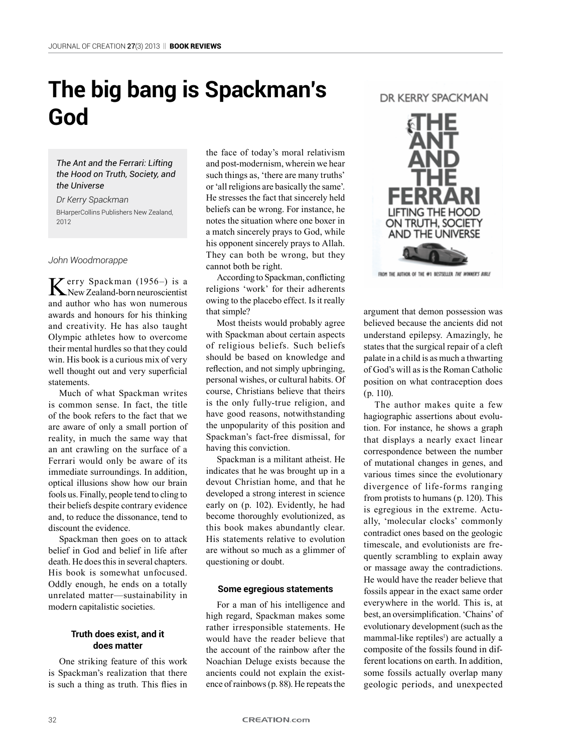# **The big bang is Spackman's God**

## *The Ant and the Ferrari: Lifting the Hood on Truth, Society, and the Universe*

*Dr Kerry Spackman* BHarperCollins Publishers New Zealand, 2012

*John Woodmorappe*

Kerry Spackman (1956–) is a  New Zealand-born neuroscientist and author who has won numerous awards and honours for his thinking and creativity. He has also taught Olympic athletes how to overcome their mental hurdles so that they could win. His book is a curious mix of very well thought out and very superficial statements.

Much of what Spackman writes is common sense. In fact, the title of the book refers to the fact that we are aware of only a small portion of reality, in much the same way that an ant crawling on the surface of a Ferrari would only be aware of its immediate surroundings. In addition, optical illusions show how our brain fools us. Finally, people tend to cling to their beliefs despite contrary evidence and, to reduce the dissonance, tend to discount the evidence.

Spackman then goes on to attack belief in God and belief in life after death. He does this in several chapters. His book is somewhat unfocused. Oddly enough, he ends on a totally unrelated matter—sustainability in modern capitalistic societies.

## **Truth does exist, and it does matter**

One striking feature of this work is Spackman's realization that there is such a thing as truth. This flies in

the face of today's moral relativism and post-modernism, wherein we hear such things as, 'there are many truths' or 'all religions are basically the same'. He stresses the fact that sincerely held beliefs can be wrong. For instance, he notes the situation where one boxer in a match sincerely prays to God, while his opponent sincerely prays to Allah. They can both be wrong, but they cannot both be right.

According to Spackman, conflicting religions 'work' for their adherents owing to the placebo effect. Is it really that simple?

Most theists would probably agree with Spackman about certain aspects of religious beliefs. Such beliefs should be based on knowledge and reflection, and not simply upbringing, personal wishes, or cultural habits. Of course, Christians believe that theirs is the only fully-true religion, and have good reasons, notwithstanding the unpopularity of this position and Spackman's fact-free dismissal, for having this conviction.

Spackman is a militant atheist. He indicates that he was brought up in a devout Christian home, and that he developed a strong interest in science early on (p. 102). Evidently, he had become thoroughly evolutionized, as this book makes abundantly clear. His statements relative to evolution are without so much as a glimmer of questioning or doubt.

#### **Some egregious statements**

For a man of his intelligence and high regard, Spackman makes some rather irresponsible statements. He would have the reader believe that the account of the rainbow after the Noachian Deluge exists because the ancients could not explain the existence of rainbows (p. 88). He repeats the

# DR KFRRY SPACKMAN



FROM THE AUTHOR OF THE 4P1 BESTSELLER THE WINNER'S BUILE

argument that demon possession was believed because the ancients did not understand epilepsy. Amazingly, he states that the surgical repair of a cleft palate in a child is as much a thwarting of God's will as is the Roman Catholic position on what contraception does (p. 110).

The author makes quite a few hagiographic assertions about evolution. For instance, he shows a graph that displays a nearly exact linear correspondence between the number of mutational changes in genes, and various times since the evolutionary divergence of life-forms ranging from protists to humans (p. 120). This is egregious in the extreme. Actually, 'molecular clocks' commonly contradict ones based on the geologic timescale, and evolutionists are frequently scrambling to explain away or massage away the contradictions. He would have the reader believe that fossils appear in the exact same order everywhere in the world. This is, at best, an oversimplification. 'Chains' of evolutionary development (such as the mammal-like reptiles<sup>1</sup>) are actually a composite of the fossils found in different locations on earth. In addition, some fossils actually overlap many geologic periods, and unexpected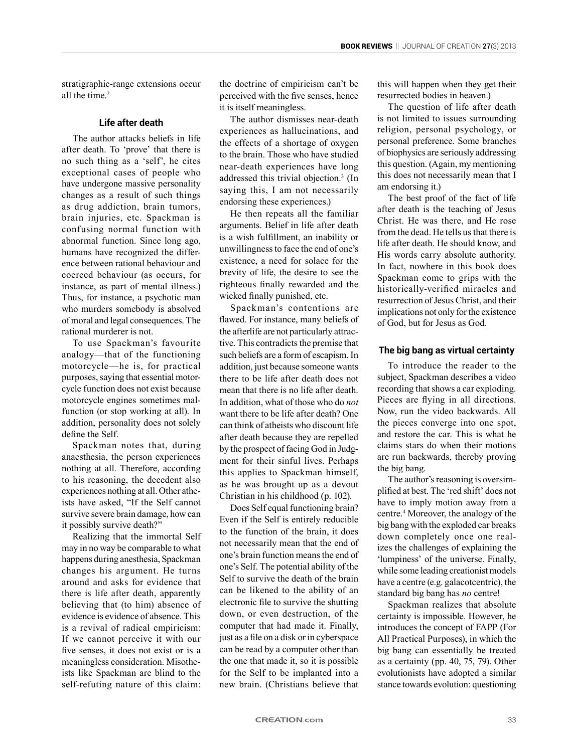stratigraphic-range extensions occur all the time.<sup>2</sup>

## **Life after death**

The author attacks beliefs in life after death. To 'prove' that there is no such thing as a 'self', he cites exceptional cases of people who have undergone massive personality changes as a result of such things as drug addiction, brain tumors, brain injuries, etc. Spackman is confusing normal function with abnormal function. Since long ago, humans have recognized the difference between rational behaviour and coerced behaviour (as occurs, for instance, as part of mental illness.) Thus, for instance, a psychotic man who murders somebody is absolved of moral and legal consequences. The rational murderer is not.

To use Spackman's favourite analogy—that of the functioning motorcycle—he is, for practical purposes, saying that essential motorcycle function does not exist because motorcycle engines sometimes malfunction (or stop working at all). In addition, personality does not solely define the Self.

Spackman notes that, during anaesthesia, the person experiences nothing at all. Therefore, according to his reasoning, the decedent also experiences nothing at all. Other atheists have asked, "If the Self cannot survive severe brain damage, how can it possibly survive death?"

Realizing that the immortal Self may in no way be comparable to what happens during anesthesia, Spackman changes his argument. He turns around and asks for evidence that there is life after death, apparently believing that (to him) absence of evidence is evidence of absence. This is a revival of radical empiricism: If we cannot perceive it with our five senses, it does not exist or is a meaningless consideration. Misotheists like Spackman are blind to the self-refuting nature of this claim:

the doctrine of empiricism can't be perceived with the five senses, hence it is itself meaningless.

The author dismisses near-death experiences as hallucinations, and the effects of a shortage of oxygen to the brain. Those who have studied near-death experiences have long addressed this trivial objection.<sup>3</sup> (In saying this, I am not necessarily endorsing these experiences.)

He then repeats all the familiar arguments. Belief in life after death is a wish fulfillment, an inability or unwillingness to face the end of one's existence, a need for solace for the brevity of life, the desire to see the righteous finally rewarded and the wicked finally punished, etc.

Spackman's contentions are flawed. For instance, many beliefs of the afterlife are not particularly attractive. This contradicts the premise that such beliefs are a form of escapism. In addition, just because someone wants there to be life after death does not mean that there is no life after death. In addition, what of those who do *not* want there to be life after death? One can think of atheists who discount life after death because they are repelled by the prospect of facing God in Judgment for their sinful lives. Perhaps this applies to Spackman himself, as he was brought up as a devout Christian in his childhood (p. 102).

Does Self equal functioning brain? Even if the Self is entirely reducible to the function of the brain, it does not necessarily mean that the end of one's brain function means the end of one's Self. The potential ability of the Self to survive the death of the brain can be likened to the ability of an electronic file to survive the shutting down, or even destruction, of the computer that had made it. Finally, just as a file on a disk or in cyberspace can be read by a computer other than the one that made it, so it is possible for the Self to be implanted into a new brain. (Christians believe that

this will happen when they get their resurrected bodies in heaven.)

The question of life after death is not limited to issues surrounding religion, personal psychology, or personal preference. Some branches of biophysics are seriously addressing this question. (Again, my mentioning this does not necessarily mean that I am endorsing it.)

The best proof of the fact of life after death is the teaching of Jesus Christ. He was there, and He rose from the dead. He tells us that there is life after death. He should know, and His words carry absolute authority. In fact, nowhere in this book does Spackman come to grips with the historically-verified miracles and resurrection of Jesus Christ, and their implications not only for the existence of God, but for Jesus as God.

## **The big bang as virtual certainty**

To introduce the reader to the subject, Spackman describes a video recording that shows a car exploding. Pieces are flying in all directions. Now, run the video backwards. All the pieces converge into one spot, and restore the car. This is what he claims stars do when their motions are run backwards, thereby proving the big bang.

The author's reasoning is oversimplified at best. The 'red shift' does not have to imply motion away from a centre.<sup>4</sup> Moreover, the analogy of the big bang with the exploded car breaks down completely once one realizes the challenges of explaining the 'lumpiness' of the universe. Finally, while some leading creationist models have a centre (e.g. galacotcentric), the standard big bang has *no* centre!

Spackman realizes that absolute certainty is impossible. However, he introduces the concept of FAPP (For All Practical Purposes), in which the big bang can essentially be treated as a certainty (pp. 40, 75, 79). Other evolutionists have adopted a similar stance towards evolution: questioning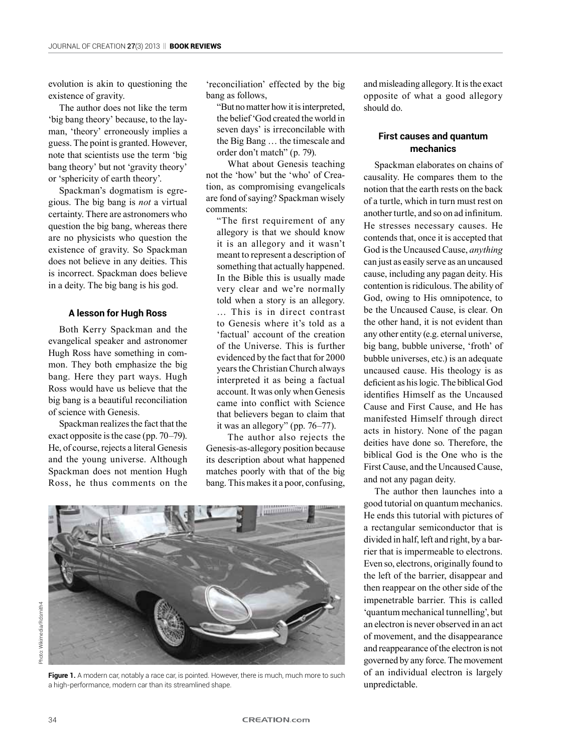evolution is akin to questioning the existence of gravity.

The author does not like the term 'big bang theory' because, to the layman, 'theory' erroneously implies a guess. The point is granted. However, note that scientists use the term 'big bang theory' but not 'gravity theory' or 'sphericity of earth theory'.

Spackman's dogmatism is egregious. The big bang is *not* a virtual certainty. There are astronomers who question the big bang, whereas there are no physicists who question the existence of gravity. So Spackman does not believe in any deities. This is incorrect. Spackman does believe in a deity. The big bang is his god.

# **A lesson for Hugh Ross**

Both Kerry Spackman and the evangelical speaker and astronomer Hugh Ross have something in common. They both emphasize the big bang. Here they part ways. Hugh Ross would have us believe that the big bang is a beautiful reconciliation of science with Genesis.

Spackman realizes the fact that the exact opposite is the case (pp. 70–79). He, of course, rejects a literal Genesis and the young universe. Although Spackman does not mention Hugh Ross, he thus comments on the 'reconciliation' effected by the big bang as follows,

"But no matter how it is interpreted, the belief 'God created the world in seven days' is irreconcilable with the Big Bang … the timescale and order don't match" (p. 79).

What about Genesis teaching not the 'how' but the 'who' of Creation, as compromising evangelicals are fond of saying? Spackman wisely comments:

"The first requirement of any allegory is that we should know it is an allegory and it wasn't meant to represent a description of something that actually happened. In the Bible this is usually made very clear and we're normally told when a story is an allegory. … This is in direct contrast to Genesis where it's told as a 'factual' account of the creation of the Universe. This is further evidenced by the fact that for 2000 years the Christian Church always interpreted it as being a factual account. It was only when Genesis came into conflict with Science that believers began to claim that it was an allegory" (pp. 76–77).

The author also rejects the Genesis-as-allegory position because its description about what happened matches poorly with that of the big bang. This makes it a poor, confusing,



Figure 1. A modern car, notably a race car, is pointed. However, there is much, much more to such a high-performance, modern car than its streamlined shape.

and misleading allegory. It is the exact opposite of what a good allegory should do.

# **First causes and quantum mechanics**

Spackman elaborates on chains of causality. He compares them to the notion that the earth rests on the back of a turtle, which in turn must rest on another turtle, and so on ad infinitum. He stresses necessary causes. He contends that, once it is accepted that God is the Uncaused Cause, *anything* can just as easily serve as an uncaused cause, including any pagan deity. His contention is ridiculous. The ability of God, owing to His omnipotence, to be the Uncaused Cause, is clear. On the other hand, it is not evident than any other entity (e.g. eternal universe, big bang, bubble universe, 'froth' of bubble universes, etc.) is an adequate uncaused cause. His theology is as deficient as his logic. The biblical God identifies Himself as the Uncaused Cause and First Cause, and He has manifested Himself through direct acts in history. None of the pagan deities have done so. Therefore, the biblical God is the One who is the First Cause, and the Uncaused Cause, and not any pagan deity.

The author then launches into a good tutorial on quantum mechanics. He ends this tutorial with pictures of a rectangular semiconductor that is divided in half, left and right, by a barrier that is impermeable to electrons. Even so, electrons, originally found to the left of the barrier, disappear and then reappear on the other side of the impenetrable barrier. This is called 'quantum mechanical tunnelling', but an electron is never observed in an act of movement, and the disappearance and reappearance of the electron is not governed by any force. The movement of an individual electron is largely unpredictable.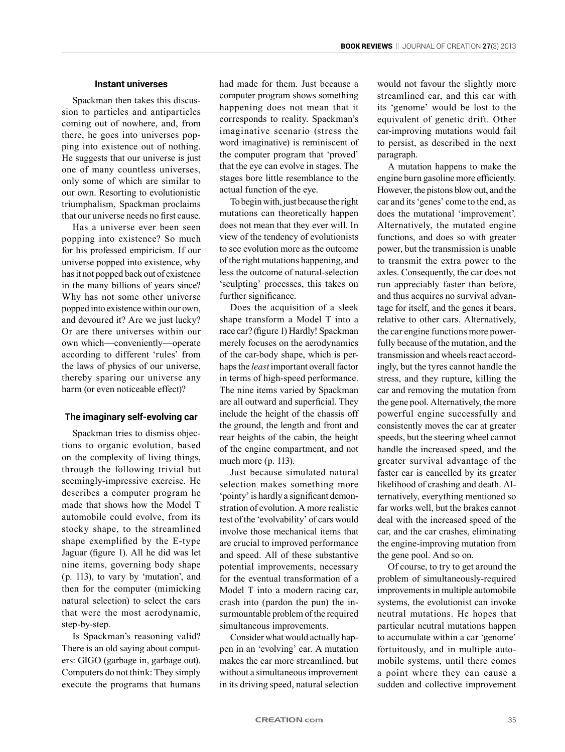#### **Instant universes**

Spackman then takes this discussion to particles and antiparticles coming out of nowhere, and, from there, he goes into universes popping into existence out of nothing. He suggests that our universe is just one of many countless universes, only some of which are similar to our own. Resorting to evolutionistic triumphalism, Spackman proclaims that our universe needs no first cause.

Has a universe ever been seen popping into existence? So much for his professed empiricism. If our universe popped into existence, why has it not popped back out of existence in the many billions of years since? Why has not some other universe popped into existence within our own, and devoured it? Are we just lucky? Or are there universes within our own which—conveniently—operate according to different 'rules' from the laws of physics of our universe, thereby sparing our universe any harm (or even noticeable effect)?

#### **The imaginary self-evolving car**

Spackman tries to dismiss objections to organic evolution, based on the complexity of living things, through the following trivial but seemingly-impressive exercise. He describes a computer program he made that shows how the Model T automobile could evolve, from its stocky shape, to the streamlined shape exemplified by the E-type Jaguar (figure 1). All he did was let nine items, governing body shape (p. 113), to vary by 'mutation', and then for the computer (mimicking natural selection) to select the cars that were the most aerodynamic, step-by-step.

Is Spackman's reasoning valid? There is an old saying about computers: GIGO (garbage in, garbage out). Computers do not think: They simply execute the programs that humans

had made for them. Just because a computer program shows something happening does not mean that it corresponds to reality. Spackman's imaginative scenario (stress the word imaginative) is reminiscent of the computer program that 'proved' that the eye can evolve in stages. The stages bore little resemblance to the actual function of the eye.

To begin with, just because the right mutations can theoretically happen does not mean that they ever will. In view of the tendency of evolutionists to see evolution more as the outcome of the right mutations happening, and less the outcome of natural-selection 'sculpting' processes, this takes on further significance.

Does the acquisition of a sleek shape transform a Model T into a race car? (figure 1) Hardly! Spackman merely focuses on the aerodynamics of the car-body shape, which is perhaps the *least* important overall factor in terms of high-speed performance. The nine items varied by Spackman are all outward and superficial. They include the height of the chassis off the ground, the length and front and rear heights of the cabin, the height of the engine compartment, and not much more (p. 113).

Just because simulated natural selection makes something more 'pointy' is hardly a significant demonstration of evolution. A more realistic test of the 'evolvability' of cars would involve those mechanical items that are crucial to improved performance and speed. All of these substantive potential improvements, necessary for the eventual transformation of a Model T into a modern racing car, crash into (pardon the pun) the insurmountable problem of the required simultaneous improvements.

Consider what would actually happen in an 'evolving' car. A mutation makes the car more streamlined, but without a simultaneous improvement in its driving speed, natural selection

would not favour the slightly more streamlined car, and this car with its 'genome' would be lost to the equivalent of genetic drift. Other car-improving mutations would fail to persist, as described in the next paragraph.

A mutation happens to make the engine burn gasoline more efficiently. However, the pistons blow out, and the car and its 'genes' come to the end, as does the mutational 'improvement'. Alternatively, the mutated engine functions, and does so with greater power, but the transmission is unable to transmit the extra power to the axles. Consequently, the car does not run appreciably faster than before, and thus acquires no survival advantage for itself, and the genes it bears, relative to other cars. Alternatively, the car engine functions more powerfully because of the mutation, and the transmission and wheels react accordingly, but the tyres cannot handle the stress, and they rupture, killing the car and removing the mutation from the gene pool. Alternatively, the more powerful engine successfully and consistently moves the car at greater speeds, but the steering wheel cannot handle the increased speed, and the greater survival advantage of the faster car is cancelled by its greater likelihood of crashing and death. Alternatively, everything mentioned so far works well, but the brakes cannot deal with the increased speed of the car, and the car crashes, eliminating the engine-improving mutation from the gene pool. And so on.

Of course, to try to get around the problem of simultaneously-required improvements in multiple automobile systems, the evolutionist can invoke neutral mutations. He hopes that particular neutral mutations happen to accumulate within a car 'genome' fortuitously, and in multiple automobile systems, until there comes a point where they can cause a sudden and collective improvement